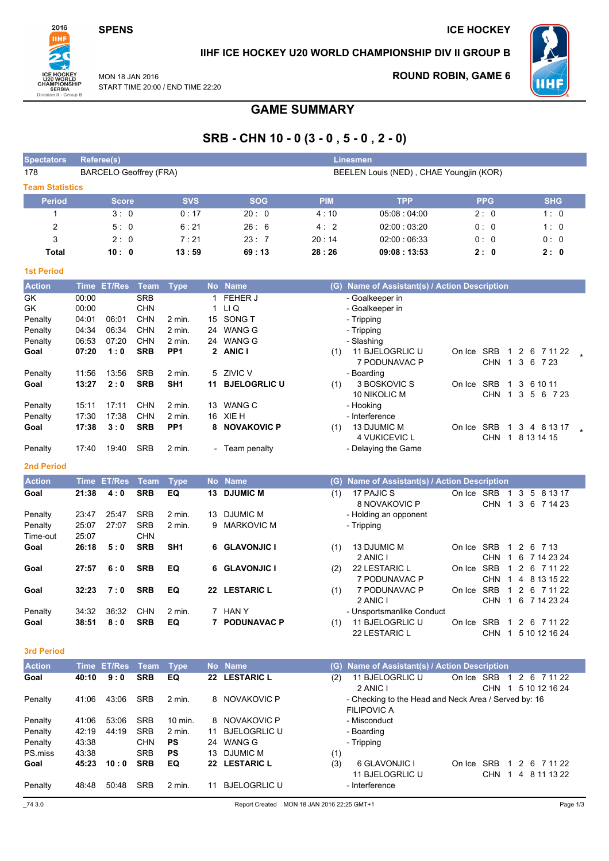### **SPENS**

**ICE HOCKEY** 



# IIHF ICE HOCKEY U20 WORLD CHAMPIONSHIP DIV II GROUP B

MON 18 JAN 2016 START TIME 20:00 / END TIME 22:20

# **ROUND ROBIN, GAME 6**



# **GAME SUMMARY**

# SRB - CHN 10 - 0 (3 - 0, 5 - 0, 2 - 0)

| <b>Spectators</b>      | Reference(s)   |                    |                               |                  |                                         |                       |            | Linesmen                                                                   |                              |                                   |  |  |
|------------------------|----------------|--------------------|-------------------------------|------------------|-----------------------------------------|-----------------------|------------|----------------------------------------------------------------------------|------------------------------|-----------------------------------|--|--|
| 178                    |                |                    | <b>BARCELO Geoffrey (FRA)</b> |                  | BEELEN Louis (NED), CHAE Youngjin (KOR) |                       |            |                                                                            |                              |                                   |  |  |
| <b>Team Statistics</b> |                |                    |                               |                  |                                         |                       |            |                                                                            |                              |                                   |  |  |
| <b>Period</b>          |                | <b>Score</b>       |                               | <b>SVS</b>       |                                         | <b>SOG</b>            | <b>PIM</b> | <b>TPP</b>                                                                 | <b>PPG</b>                   | <b>SHG</b>                        |  |  |
| $\mathbf{1}$           |                | 3:0                |                               | 0:17             |                                         | 20:0                  | 4:10       | 05:08:04:00                                                                | 2:0                          | 1:0                               |  |  |
| 2                      |                | 5:0                |                               | 6:21             |                                         | 26:6                  | 4:2        | 02:00:03:20                                                                | 0:0                          | 1:0                               |  |  |
| 3                      |                | 2:0                |                               | 7:21             |                                         | 23:7                  | 20:14      | 02:00:06:33                                                                | 0:0                          | 0:0                               |  |  |
| <b>Total</b>           |                | 10:0               |                               | 13:59            |                                         | 69:13                 | 28:26      | 09:08:13:53                                                                | 2: 0                         | 2:0                               |  |  |
| <b>1st Period</b>      |                |                    |                               |                  |                                         |                       |            |                                                                            |                              |                                   |  |  |
| <b>Action</b>          | <b>Time</b>    | <b>ET/Res</b>      | Team                          | <b>Type</b>      |                                         | No Name               |            | (G) Name of Assistant(s) / Action Description                              |                              |                                   |  |  |
| GK                     | 00:00          |                    | <b>SRB</b>                    |                  | 1                                       | FEHER J               |            | - Goalkeeper in                                                            |                              |                                   |  |  |
| GK                     | 00:00          |                    | <b>CHN</b>                    |                  | 1                                       | LI Q                  |            | - Goalkeeper in                                                            |                              |                                   |  |  |
| Penalty                | 04:01          | 06:01              | CHN                           | 2 min.           | 15                                      | SONG T                |            | - Tripping                                                                 |                              |                                   |  |  |
| Penalty                | 04:34          | 06:34              | CHN                           | $2$ min.         | 24                                      | <b>WANG G</b>         |            | - Tripping                                                                 |                              |                                   |  |  |
| Penalty                | 06:53          | 07:20              | CHN                           | 2 min.           |                                         | 24 WANG G             |            | - Slashing                                                                 |                              |                                   |  |  |
| Goal                   | 07:20          | 1:0                | <b>SRB</b>                    | PP <sub>1</sub>  |                                         | 2 ANIC I              | (1)        | 11 BJELOGRLIC U                                                            | On Ice SRB 1 2 6 7 11 22     |                                   |  |  |
|                        |                |                    |                               |                  |                                         |                       |            | 7 PODUNAVAC P                                                              |                              | CHN 1 3 6 7 23                    |  |  |
| Penalty                | 11:56          | 13:56              | <b>SRB</b>                    | 2 min.           | 5                                       | ZIVIC V               |            | - Boarding                                                                 |                              |                                   |  |  |
| Goal                   | 13:27          | 2:0                | <b>SRB</b>                    | SH <sub>1</sub>  | 11                                      | <b>BJELOGRLIC U</b>   | (1)        | 3 BOSKOVIC S                                                               | On Ice SRB<br>$\mathbf{1}$   | 3 6 10 11                         |  |  |
|                        |                |                    |                               |                  |                                         |                       |            | 10 NIKOLIC M                                                               |                              | CHN 1 3 5 6 7 23                  |  |  |
| Penalty<br>Penalty     | 15:11<br>17:30 | 17:11<br>17:38     | <b>CHN</b><br><b>CHN</b>      | 2 min.<br>2 min. |                                         | 13 WANG C<br>16 XIE H |            | - Hooking<br>- Interference                                                |                              |                                   |  |  |
| Goal                   | 17:38          | 3:0                | <b>SRB</b>                    | PP <sub>1</sub>  |                                         | 8 NOVAKOVIC P         | (1)        | 13 DJUMIC M                                                                | On Ice SRB                   | 1 3 4 8 13 17                     |  |  |
|                        |                |                    |                               |                  |                                         |                       |            | 4 VUKICEVIC L                                                              |                              | CHN 1 8 13 14 15                  |  |  |
| Penalty                | 17:40          | 19:40              | <b>SRB</b>                    | 2 min.           |                                         | - Team penalty        |            | - Delaying the Game                                                        |                              |                                   |  |  |
| <b>2nd Period</b>      |                |                    |                               |                  |                                         |                       |            |                                                                            |                              |                                   |  |  |
| <b>Action</b>          |                | <b>Time ET/Res</b> | <b>Team</b>                   | <b>Type</b>      |                                         | No Name               |            | (G) Name of Assistant(s) / Action Description                              |                              |                                   |  |  |
| Goal                   | 21:38          | 4:0                | <b>SRB</b>                    | EQ               |                                         | 13 DJUMIC M           | (1)        | 17 PAJIC S                                                                 | On Ice SRB 1 3 5 8 13 17     |                                   |  |  |
|                        |                |                    |                               |                  |                                         |                       |            | 8 NOVAKOVIC P                                                              |                              | CHN 1 3 6 7 14 23                 |  |  |
| Penalty                | 23:47          | 25:47              | <b>SRB</b>                    | 2 min.           | 13                                      | <b>DJUMIC M</b>       |            | - Holding an opponent                                                      |                              |                                   |  |  |
| Penalty                | 25:07          | 27:07              | <b>SRB</b>                    | 2 min.           | 9                                       | <b>MARKOVIC M</b>     |            | - Tripping                                                                 |                              |                                   |  |  |
| Time-out               | 25:07          |                    | <b>CHN</b>                    |                  |                                         |                       |            |                                                                            |                              |                                   |  |  |
| Goal                   | 26:18          | 5:0                | <b>SRB</b>                    | SH <sub>1</sub>  | 6                                       | <b>GLAVONJIC I</b>    | (1)        | 13 DJUMIC M                                                                | On Ice SRB<br>$\overline{1}$ | 2 6 7 13                          |  |  |
|                        |                |                    | <b>SRB</b>                    |                  |                                         |                       |            | 2 ANIC I                                                                   | On Ice SRB                   | CHN 1 6 7 14 23 24<br>2 6 7 11 22 |  |  |
| Goal                   | 27:57          | 6:0                |                               | EQ               | 6                                       | <b>GLAVONJIC I</b>    | (2)        | 22 LESTARIC L<br>7 PODUNAVAC P                                             | $\mathbf{1}$                 | CHN 1 4 8 13 15 22                |  |  |
| Goal                   | 32:23          | 7:0                | <b>SRB</b>                    | EQ               |                                         | 22 LESTARIC L         | (1)        | 7 PODUNAVAC P                                                              | On Ice SRB<br>$\mathbf 1$    | 2 6 7 11 22                       |  |  |
|                        |                |                    |                               |                  |                                         |                       |            | 2 ANIC I                                                                   |                              | CHN 1 6 7 14 23 24                |  |  |
| Penalty                |                | 34:32 36:32        | CHN                           | 2 min.           |                                         | 7 HAN Y               |            | Unsportsmanlike Conduct                                                    |                              |                                   |  |  |
| Goal                   | 38:51          | 8:0                | <b>SRB</b>                    | EQ               |                                         | 7 PODUNAVAC P         | (1)        | 11 BJELOGRLIC U                                                            | On Ice SRB 1 2 6 7 11 22     |                                   |  |  |
|                        |                |                    |                               |                  |                                         |                       |            | 22 LESTARIC L                                                              |                              | CHN 1 5 10 12 16 24               |  |  |
| 3rd Period             |                |                    |                               |                  |                                         |                       |            |                                                                            |                              |                                   |  |  |
| <b>Action</b>          |                | Time ET/Res        | <b>Team</b>                   | <b>Type</b>      |                                         | No Name               | (G)        | Name of Assistant(s) / Action Description                                  |                              |                                   |  |  |
| Goal                   | 40:10          | 9:0                | <b>SRB</b>                    | EQ               |                                         | 22 LESTARIC L         | (2)        | 11 BJELOGRLIC U                                                            | On Ice SRB 1 2 6 7 11 22     |                                   |  |  |
|                        |                |                    |                               |                  |                                         |                       |            | 2 ANIC I                                                                   |                              | CHN 1 5 10 12 16 24               |  |  |
| Penalty                | 41:06          | 43:06              | <b>SRB</b>                    | 2 min.           |                                         | 8 NOVAKOVIC P         |            | - Checking to the Head and Neck Area / Served by: 16<br><b>FILIPOVIC A</b> |                              |                                   |  |  |
| Penalty                | 41:06          | 53:06              | <b>SRB</b>                    | 10 min.          |                                         | 8 NOVAKOVIC P         |            | - Misconduct                                                               |                              |                                   |  |  |
| Penalty                | 42:19          | 44:19              | <b>SRB</b>                    | 2 min.           |                                         | 11 BJELOGRLIC U       |            | - Boarding                                                                 |                              |                                   |  |  |
| Penalty                | 43:38          |                    | <b>CHN</b>                    | PS               |                                         | 24 WANG G             |            | - Tripping                                                                 |                              |                                   |  |  |
| PS.miss                | 43:38          |                    | <b>SRB</b>                    | PS               |                                         | 13 DJUMIC M           | (1)        |                                                                            |                              |                                   |  |  |
| Goal                   | 45:23          | 10:0               | <b>SRB</b>                    | EQ               |                                         | 22 LESTARIC L         | (3)        | 6 GLAVONJIC I                                                              | On Ice SRB 1 2 6 7 11 22     |                                   |  |  |
|                        |                |                    |                               |                  |                                         |                       |            | 11 BJELOGRLIC U                                                            |                              | CHN 1 4 8 11 13 22                |  |  |
| Penalty                | 48:48          | 50:48              | SRB                           | 2 min.           |                                         | 11 BJELOGRLIC U       |            | - Interference                                                             |                              |                                   |  |  |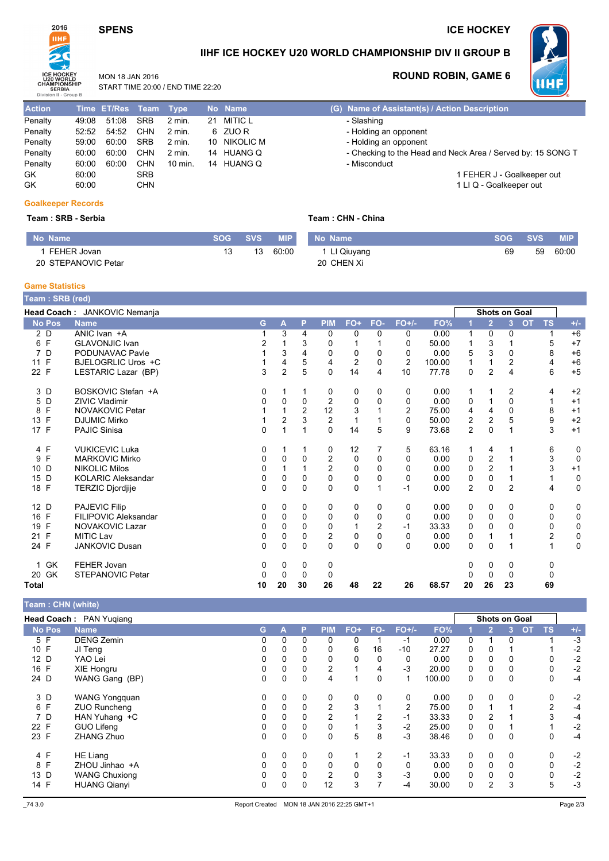# **SPENS**

### **ICE HOCKEY**



## IIHF ICE HOCKEY U20 WORLD CHAMPIONSHIP DIV II GROUP B

MON 18 JAN 2016



START TIME 20:00 / END TIME 22:20

# **ROUND ROBIN, GAME 6**

| $U1$ $V1$ $U1$ $U1$ $U1$ $U2$ $U2$ |       |                       |            |                   |              |         |
|------------------------------------|-------|-----------------------|------------|-------------------|--------------|---------|
| <b>Action</b>                      |       | Time ET/Res Team Type |            |                   | No Name      | $(G)$ N |
| Penalty                            | 49:08 | 51:08                 | <b>SRB</b> | $2$ min.          | 21 MITIC L   | - 3     |
| Penalty                            | 52:52 | 54:52                 | <b>CHN</b> | $2$ min.          | 6 ZUOR       | - 1     |
| Penalty                            | 59:00 | 60:00                 | <b>SRB</b> | $2 \text{ min}$ . | 10 NIKOLIC M | - 1     |
| Penalty                            | 60:00 | 60:00                 | <b>CHN</b> | $2$ min.          | 14 HUANG Q   | - 0     |
| Penalty                            | 60:00 | 60:00                 | <b>CHN</b> | 10 min.           | 14 HUANG Q   | - 1     |
| GK.                                | 60:00 |                       | <b>SRB</b> |                   |              |         |
| GK                                 | 60:00 |                       | <b>CHN</b> |                   |              |         |
|                                    |       |                       |            |                   |              |         |

# lame of Assistant(s) / Action Description<br>Slashing Holding an opponent

Holding an opponent

- Checking to the Head and Neck Area / Served by: 15 SONG T
- Misconduct
- 1 FEHER J Goalkeeper out 1 LI Q - Goalkeeper out

#### **Goalkeeper Records**

#### Team: SRB - Serbia

#### Team: CHN - China

| No Name             | $\mathbf{S}\mathbf{O}\mathbf{G}$ . | <b>SVS</b> | <b>MIP</b> | No Name     | <b>SOG</b> | <b>SVS</b> | <b>MIP</b> |
|---------------------|------------------------------------|------------|------------|-------------|------------|------------|------------|
| FEHER Jovan         |                                    | 13         | 60:00      | 'Ll Qiuyang | 69         | 59         | 60:00      |
| 20 STEPANOVIC Petar |                                    |            |            | 20 CHEN Xi  |            |            |            |

**Game Statistics** 

| Team: SRB (red) |                              |    |                |                |                |                |                |                |        |                |                      |                |           |                |             |
|-----------------|------------------------------|----|----------------|----------------|----------------|----------------|----------------|----------------|--------|----------------|----------------------|----------------|-----------|----------------|-------------|
|                 | Head Coach: JANKOVIC Nemanja |    |                |                |                |                |                |                |        |                | <b>Shots on Goal</b> |                |           |                |             |
| <b>No Pos</b>   | <b>Name</b>                  | G. | A              | P              | <b>PIM</b>     | FO+            | FO-            | $FO+/-$        | FO%    |                | $\overline{2}$       | 3 <sup>1</sup> | <b>OT</b> | <b>TS</b>      | $+/-$       |
| 2D              | ANIC Ivan +A                 |    | 3              | 4              | 0              | 0              | 0              | 0              | 0.00   | 1              | 0                    | 0              |           | 1              | $+6$        |
| 6 F             | <b>GLAVONJIC Ivan</b>        | 2  |                | 3              | 0              |                |                | 0              | 50.00  | 1              | 3                    |                |           | 5              | $+7$        |
| D<br>7          | PODUNAVAC Pavle              |    | 3              | 4              | 0              | 0              | 0              | 0              | 0.00   | 5              | 3                    | 0              |           | 8              | $+6$        |
| 11 F            | BJELOGRLIC Uros +C           |    | 4              | 5              | 4              | $\overline{2}$ | 0              | $\overline{2}$ | 100.00 | 1              | 1                    | 2              |           | 4              | $+6$        |
| 22 F            | LESTARIC Lazar (BP)          | 3  | $\overline{2}$ | 5              | 0              | 14             | 4              | 10             | 77.78  | 0              | $\overline{c}$       | 4              |           | 6              | $+5$        |
| 3D              | BOSKOVIC Stefan +A           | 0  | -1             | 1              | 0              | 0              | 0              | 0              | 0.00   | 1              | 1                    | 2              |           | 4              | $+2$        |
| D<br>5          | <b>ZIVIC Vladimir</b>        | 0  | 0              | 0              | $\overline{2}$ | 0              | 0              | 0              | 0.00   | 0              |                      | $\Omega$       |           |                | $+1$        |
| F<br>8          | NOVAKOVIC Petar              |    | $\overline{1}$ | $\overline{2}$ | 12             | 3              |                | 2              | 75.00  | 4              | 4                    | $\Omega$       |           | 8              | $+1$        |
| F<br>13         | <b>DJUMIC Mirko</b>          |    | $\overline{2}$ | 3              | $\overline{c}$ |                |                | $\mathbf 0$    | 50.00  | 2              | $\overline{2}$       | 5              |           | 9              | $+2$        |
| 17 F            | <b>PAJIC Sinisa</b>          | 0  | 1              |                | $\Omega$       | 14             | 5              | 9              | 73.68  | $\overline{c}$ | $\Omega$             | 1              |           | 3              | $+1$        |
| 4 F             | <b>VUKICEVIC Luka</b>        | 0  |                |                | 0              | 12             | 7              | 5              | 63.16  | 1              | 4                    |                |           | 6              | 0           |
| F<br>9          | <b>MARKOVIC Mirko</b>        | 0  | $\Omega$       | 0              | $\overline{c}$ | 0              | 0              | $\mathbf{0}$   | 0.00   | 0              | $\overline{c}$       | 1              |           | 3              | $\mathbf 0$ |
| D<br>10         | <b>NIKOLIC Milos</b>         | 0  |                |                | $\overline{c}$ | 0              | 0              | 0              | 0.00   | 0              | $\overline{c}$       |                |           | 3              | $+1$        |
| D<br>15         | <b>KOLARIC Aleksandar</b>    | 0  | $\Omega$       | $\Omega$       | $\Omega$       | $\mathbf{0}$   | $\Omega$       | $\Omega$       | 0.00   | 0              | $\Omega$             |                |           |                | 0           |
| 18 F            | <b>TERZIC Djordjije</b>      | 0  | $\Omega$       | $\Omega$       | 0              | $\Omega$       |                | $-1$           | 0.00   | $\overline{2}$ | $\Omega$             | $\overline{2}$ |           | 4              | $\mathbf 0$ |
| 12 D            | PAJEVIC Filip                | 0  | 0              | 0              | 0              | 0              | 0              | 0              | 0.00   | 0              | 0                    | 0              |           | 0              | 0           |
| 16 F            | FILIPOVIC Aleksandar         | 0  | 0              | $\Omega$       | 0              | 0              | 0              | 0              | 0.00   | 0              | 0                    | $\Omega$       |           | 0              | 0           |
| F<br>19         | <b>NOVAKOVIC Lazar</b>       | 0  | $\Omega$       | $\Omega$       | 0              | 1              | $\overline{2}$ | $-1$           | 33.33  | 0              | 0                    | 0              |           | 0              | 0           |
| 21 F            | <b>MITIC Lav</b>             | 0  | 0              | 0              | $\overline{c}$ | 0              | $\Omega$       | $\mathbf{0}$   | 0.00   | 0              | 1                    |                |           | $\overline{c}$ | $\pmb{0}$   |
| 24 F            | <b>JANKOVIC Dusan</b>        | 0  | $\Omega$       | $\Omega$       | $\Omega$       | $\Omega$       | $\Omega$       | $\Omega$       | 0.00   | $\Omega$       | $\Omega$             |                |           |                | $\mathbf 0$ |
| <b>GK</b><br>1  | FEHER Jovan                  | 0  | 0              | 0              | 0              |                |                |                |        | 0              | 0                    | 0              |           | 0              |             |
| 20 GK           | <b>STEPANOVIC Petar</b>      | 0  | 0              | $\Omega$       | 0              |                |                |                |        | ი              | 0                    | 0              |           | 0              |             |
| <b>Total</b>    |                              | 10 | 20             | 30             | 26             | 48             | 22             | 26             | 68.57  | 20             | 26                   | 23             |           | 69             |             |

| Team : CHN (white)      |                                                        |          |          |                |       |     |                |        |          |                |   |           |                      |       |
|-------------------------|--------------------------------------------------------|----------|----------|----------------|-------|-----|----------------|--------|----------|----------------|---|-----------|----------------------|-------|
| Head Coach: PAN Yugiang |                                                        |          |          |                |       |     |                |        |          |                |   |           |                      |       |
| <b>Name</b>             | G.                                                     | А        | P        | <b>PIM</b>     | $FO+$ | FO- | $FO+/-$        | FO%    |          | $\overline{2}$ | 3 | <b>OT</b> | <b>TS</b>            | $+/-$ |
| <b>DENG Zemin</b>       | 0                                                      | 0        | 0        | 0              | 0     |     | $-1$           | 0.00   | 0        | 1              | 0 |           |                      | $-3$  |
| JI Teng                 | 0                                                      | 0        | 0        | 0              | 6     | 16  | -10            | 27.27  | 0        | 0              |   |           |                      | $-2$  |
| YAO Lei                 | 0                                                      | 0        | 0        | 0              | 0     | 0   | 0              | 0.00   | 0        | 0              |   |           | 0                    | $-2$  |
| XIE Hongru              | 0                                                      | 0        | 0        | $\overline{2}$ |       | 4   | $-3$           | 20.00  | 0        | 0              |   |           | 0                    | $-2$  |
|                         | 0                                                      | 0        | 0        | 4              |       | 0   | $\mathbf{1}$   | 100.00 | 0        | 0              | 0 |           | 0                    | $-4$  |
| WANG Yongquan           | 0                                                      | 0        | 0        | 0              | 0     | 0   | 0              | 0.00   | 0        | 0              |   |           | 0                    | $-2$  |
| <b>ZUO Runcheng</b>     | 0                                                      | 0        |          | 2              | 3     |     | $\overline{2}$ | 75.00  | 0        |                |   |           | 2                    | -4    |
|                         | 0                                                      | $\Omega$ |          | $\overline{2}$ |       | 2   | -1             | 33.33  | 0        | 2              |   |           | 3                    | $-4$  |
| GUO Lifeng              | 0                                                      | 0        | $\Omega$ | 0              |       | 3   | $-2$           | 25.00  | 0        | $\mathbf{0}$   |   |           |                      | $-2$  |
| ZHANG Zhuo              | 0                                                      | 0        | $\Omega$ | $\mathbf{0}$   | 5     | 8   | $-3$           | 38.46  | $\Omega$ | $\mathbf{0}$   | 0 |           | $\Omega$             | $-4$  |
| HE Liang                | 0                                                      | 0        | 0        | 0              |       | 2   | -1             | 33.33  | 0        | 0              | 0 |           | 0                    | $-2$  |
| ZHOU Jinhao +A          | 0                                                      | 0        | 0        | $\Omega$       | 0     | 0   | 0              | 0.00   | 0        | 0              | 0 |           | 0                    | $-2$  |
| <b>WANG Chuxiong</b>    | 0                                                      | 0        |          | 2              | 0     | 3   | $-3$           | 0.00   | 0        | 0              |   |           | 0                    | $-2$  |
|                         | 0                                                      | 0        | 0        | 12             | 3     |     | $-4$           | 30.00  | 0        | 2              | 3 |           | 5                    | $-3$  |
|                         | WANG Gang (BP)<br>HAN Yuhang +C<br><b>HUANG Qianyi</b> |          |          |                |       |     |                |        |          |                |   |           | <b>Shots on Goal</b> |       |